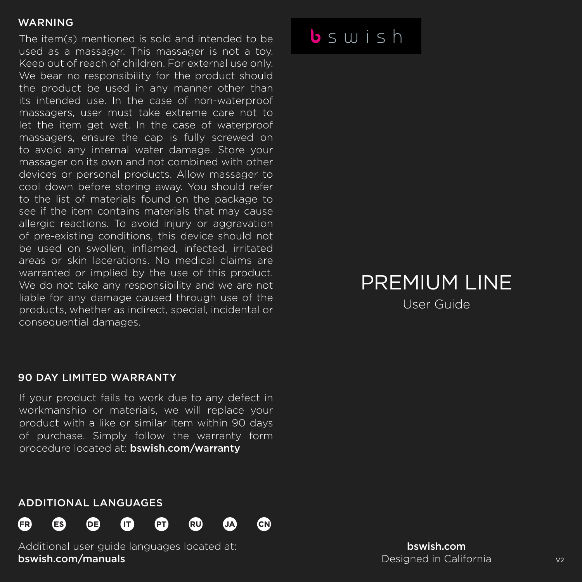The item(s) mentioned is sold and intended to be used as a massager. This massager is not a toy. Keep out of reach of children. For external use only. We bear no responsibility for the product should the product be used in any manner other than its intended use. In the case of non-waterproof massagers, user must take extreme care not to let the item get wet. In the case of waterproof massagers, ensure the cap is fully screwed on to avoid any internal water damage. Store your massager on its own and not combined with other devices or personal products. Allow massager to cool down before storing away. You should refer to the list of materials found on the package to see if the item contains materials that may cause allergic reactions. To avoid injury or aggravation of pre-existing conditions, this device should not be used on swollen, inflamed, infected, irritated areas or skin lacerations. No medical claims are warranted or implied by the use of this product. We do not take any responsibility and we are not liable for any damage caused through use of the products, whether as indirect, special, incidental or consequential damages.

### $b \sin is h$

## PREMIUM LINE

User Guide

#### 90 DAY LIMITED WARRANTY

If your product fails to work due to any defect in workmanship or materials, we will replace your product with a like or similar item within 90 days of purchase. Simply follow the warranty form procedure located at: bswish.com/warranty

CN)

#### ADDITIONAL LANGUAGES



Additional user guide languages located at: bswish.com/manuals

bswish.com Designed in California V2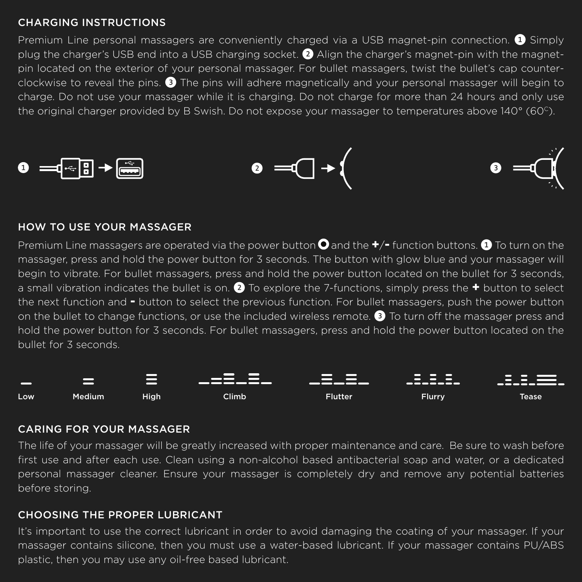#### CHARGING INSTRUCTIONS

Premium Line personal massagers are conveniently charged via a USB magnet-pin connection. ❶ Simply plug the charger's USB end into a USB charging socket. ❷ Align the charger's magnet-pin with the magnetpin located on the exterior of your personal massager. For bullet massagers, twist the bullet's cap counterclockwise to reveal the pins. ❸ The pins will adhere magnetically and your personal massager will begin to charge. Do not use your massager while it is charging. Do not charge for more than 24 hours and only use the original charger provided by B Swish. Do not expose your massager to temperatures above 140° (60C).



#### HOW TO USE YOUR MASSAGER

Premium Line massagers are operated via the power button **Q** and the  $+/-$  function buttons. **@** To turn on the massager, press and hold the power button for 3 seconds. The button with glow blue and your massager will begin to vibrate. For bullet massagers, press and hold the power button located on the bullet for 3 seconds, a small vibration indicates the bullet is on. ❷ To explore the 7-functions, simply press the **+** button to select the next function and **-** button to select the previous function. For bullet massagers, push the power button on the bullet to change functions, or use the included wireless remote. ❸ To turn off the massager press and hold the power button for 3 seconds. For bullet massagers, press and hold the power button located on the bullet for 3 seconds.



#### CARING FOR YOUR MASSAGER

The life of your massager will be greatly increased with proper maintenance and care. Be sure to wash before first use and after each use. Clean using a non-alcohol based antibacterial soap and water, or a dedicated personal massager cleaner. Ensure your massager is completely dry and remove any potential batteries before storing.

#### CHOOSING THE PROPER LUBRICANT

It's important to use the correct lubricant in order to avoid damaging the coating of your massager. If your massager contains silicone, then you must use a water-based lubricant. If your massager contains PU/ABS plastic, then you may use any oil-free based lubricant.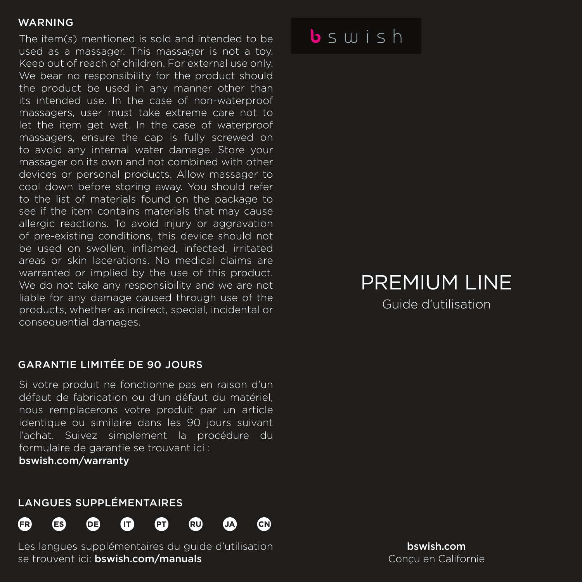The item(s) mentioned is sold and intended to be used as a massager. This massager is not a toy. Keep out of reach of children. For external use only. We bear no responsibility for the product should the product be used in any manner other than its intended use. In the case of non-waterproof massagers, user must take extreme care not to let the item get wet. In the case of waterproof massagers, ensure the cap is fully screwed on to avoid any internal water damage. Store your massager on its own and not combined with other devices or personal products. Allow massager to cool down before storing away. You should refer to the list of materials found on the package to see if the item contains materials that may cause allergic reactions. To avoid injury or aggravation of pre-existing conditions, this device should not be used on swollen, inflamed, infected, irritated areas or skin lacerations. No medical claims are warranted or implied by the use of this product. We do not take any responsibility and we are not liable for any damage caused through use of the products, whether as indirect, special, incidental or consequential damages.

#### GARANTIE LIMITÉE DE 90 JOURS

Si votre produit ne fonctionne pas en raison d'un défaut de fabrication ou d'un défaut du matériel, nous remplacerons votre produit par un article identique ou similaire dans les 90 jours suivant l'achat. Suivez simplement la procédure du formulaire de garantie se trouvant ici :

bswish.com/warranty

#### LANGUES SUPPLÉMENTAIRES







ćΝ

.<br>RU

Les langues supplémentaires du guide d'utilisation se trouvent ici: bswish.com/manuals

ſет

## $b \leq u + h$

# PREMIUM LINE

Guide d'utilisation

bswish.com Conçu en Californie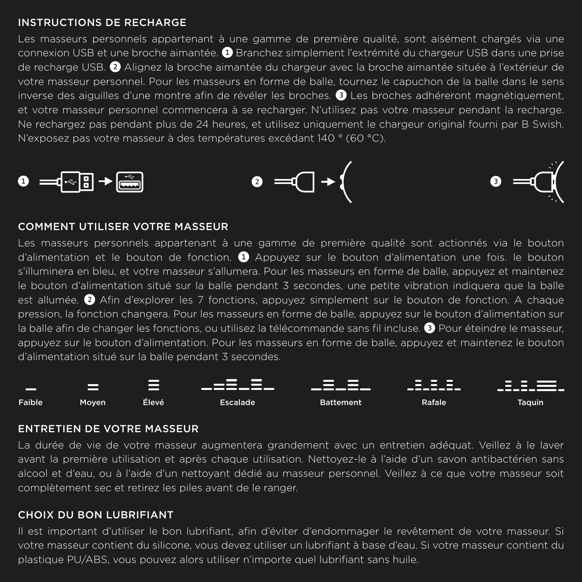#### INSTRUCTIONS DE RECHARGE

Les masseurs personnels appartenant à une gamme de première qualité, sont aisément chargés via une connexion USB et une broche aimantée. ❶ Branchez simplement l'extrémité du chargeur USB dans une prise de recharge USB. ❷ Alignez la broche aimantée du chargeur avec la broche aimantée située à l'extérieur de votre masseur personnel. Pour les masseurs en forme de balle, tournez le capuchon de la balle dans le sens inverse des aiguilles d'une montre afin de révéler les broches. ❸ Les broches adhéreront magnétiquement, et votre masseur personnel commencera à se recharger. N'utilisez pas votre masseur pendant la recharge. Ne rechargez pas pendant plus de 24 heures, et utilisez uniquement le chargeur original fourni par B Swish. N'exposez pas votre masseur à des températures excédant 140 ° (60 °C).







#### COMMENT UTILISER VOTRE MASSEUR

Les masseurs personnels appartenant à une gamme de première qualité sont actionnés via le bouton d'alimentation et le bouton de fonction. ❶ Appuyez sur le bouton d'alimentation une fois. le bouton s'illuminera en bleu, et votre masseur s'allumera. Pour les masseurs en forme de balle, appuyez et maintenez le bouton d'alimentation situé sur la balle pendant 3 secondes, une petite vibration indiquera que la balle est allumée. ❷ Afin d'explorer les 7 fonctions, appuyez simplement sur le bouton de fonction. A chaque pression, la fonction changera. Pour les masseurs en forme de balle, appuyez sur le bouton d'alimentation sur la balle afin de changer les fonctions, ou utilisez la télécommande sans fil incluse. ❸ Pour éteindre le masseur, appuyez sur le bouton d'alimentation. Pour les masseurs en forme de balle, appuyez et maintenez le bouton d'alimentation situé sur la balle pendant 3 secondes.



#### ENTRETIEN DE VOTRE MASSEUR

La durée de vie de votre masseur augmentera grandement avec un entretien adéquat. Veillez à le laver avant la première utilisation et après chaque utilisation. Nettoyez-le à l'aide d'un savon antibactérien sans alcool et d'eau, ou à l'aide d'un nettoyant dédié au masseur personnel. Veillez à ce que votre masseur soit complètement sec et retirez les piles avant de le ranger.

#### CHOIX DU BON LUBRIFIANT

Il est important d'utiliser le bon lubrifiant, afin d'éviter d'endommager le revêtement de votre masseur. Si votre masseur contient du silicone, vous devez utiliser un lubrifiant à base d'eau. Si votre masseur contient du plastique PU/ABS, vous pouvez alors utiliser n'importe quel lubrifiant sans huile.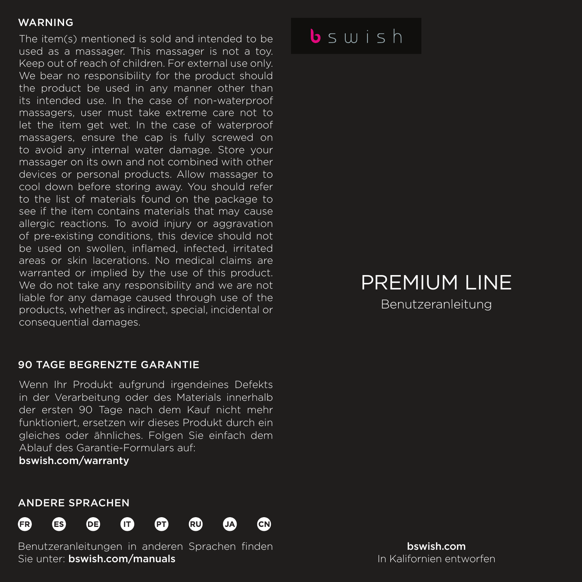The item(s) mentioned is sold and intended to be used as a massager. This massager is not a toy. Keep out of reach of children. For external use only. We bear no responsibility for the product should the product be used in any manner other than its intended use. In the case of non-waterproof massagers, user must take extreme care not to let the item get wet. In the case of waterproof massagers, ensure the cap is fully screwed on to avoid any internal water damage. Store your massager on its own and not combined with other devices or personal products. Allow massager to cool down before storing away. You should refer to the list of materials found on the package to see if the item contains materials that may cause allergic reactions. To avoid injury or aggravation of pre-existing conditions, this device should not be used on swollen, inflamed, infected, irritated areas or skin lacerations. No medical claims are warranted or implied by the use of this product. We do not take any responsibility and we are not liable for any damage caused through use of the products, whether as indirect, special, incidental or consequential damages.

#### 90 TAGE BEGRENZTE GARANTIE

Wenn Ihr Produkt aufgrund irgendeines Defekts in der Verarbeitung oder des Materials innerhalb der ersten 90 Tage nach dem Kauf nicht mehr funktioniert, ersetzen wir dieses Produkt durch ein gleiches oder ähnliches. Folgen Sie einfach dem Ablauf des Garantie-Formulars auf:

bswish.com/warranty

### $b \leq u + h$

## PREMIUM LINE

Benutzeranleitung

#### ANDERE SPRACHEN



Benutzeranleitungen in anderen Sprachen finden Sie unter: bswish.com/manuals

bswish.com In Kalifornien entworfen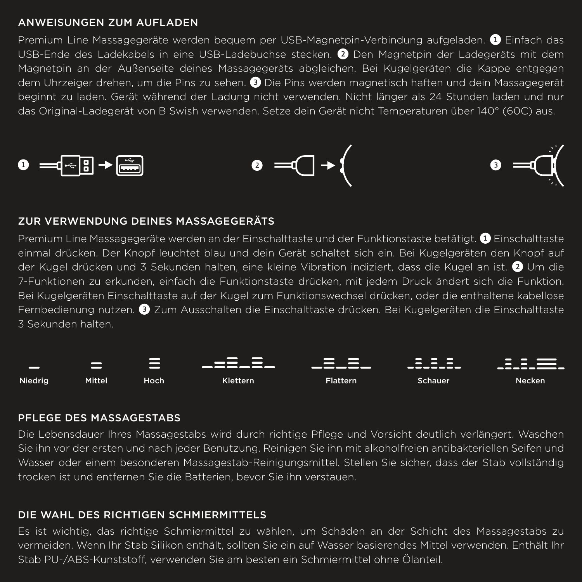#### ANWEISUNGEN ZUM AUFLADEN

Premium Line Massagegeräte werden bequem per USB-Magnetpin-Verbindung aufgeladen. ❶ Einfach das USB-Ende des Ladekabels in eine USB-Ladebuchse stecken. ❷ Den Magnetpin der Ladegeräts mit dem Magnetpin an der Außenseite deines Massagegeräts abgleichen. Bei Kugelgeräten die Kappe entgegen dem Uhrzeiger drehen, um die Pins zu sehen. ❸ Die Pins werden magnetisch haften und dein Massagegerät beginnt zu laden. Gerät während der Ladung nicht verwenden. Nicht länger als 24 Stunden laden und nur das Original-Ladegerät von B Swish verwenden. Setze dein Gerät nicht Temperaturen über 140° (60C) aus.



#### ZUR VERWENDUNG DEINES MASSAGEGERÄTS

Premium Line Massagegeräte werden an der Einschalttaste und der Funktionstaste betätigt. ❶ Einschalttaste einmal drücken. Der Knopf leuchtet blau und dein Gerät schaltet sich ein. Bei Kugelgeräten den Knopf auf der Kugel drücken und 3 Sekunden halten, eine kleine Vibration indiziert, dass die Kugel an ist. ❷ Um die 7-Funktionen zu erkunden, einfach die Funktionstaste drücken, mit jedem Druck ändert sich die Funktion. Bei Kugelgeräten Einschalttaste auf der Kugel zum Funktionswechsel drücken, oder die enthaltene kabellose Fernbedienung nutzen. ❸ Zum Ausschalten die Einschalttaste drücken. Bei Kugelgeräten die Einschalttaste 3 Sekunden halten.



#### PFLEGE DES MASSAGESTABS

Die Lebensdauer Ihres Massagestabs wird durch richtige Pflege und Vorsicht deutlich verlängert. Waschen Sie ihn vor der ersten und nach jeder Benutzung. Reinigen Sie ihn mit alkoholfreien antibakteriellen Seifen und Wasser oder einem besonderen Massagestab-Reinigungsmittel. Stellen Sie sicher, dass der Stab vollständig trocken ist und entfernen Sie die Batterien, bevor Sie ihn verstauen.

#### DIE WAHL DES RICHTIGEN SCHMIERMITTELS

Es ist wichtig, das richtige Schmiermittel zu wählen, um Schäden an der Schicht des Massagestabs zu vermeiden. Wenn Ihr Stab Silikon enthält, sollten Sie ein auf Wasser basierendes Mittel verwenden. Enthält Ihr Stab PU-/ABS-Kunststoff, verwenden Sie am besten ein Schmiermittel ohne Ölanteil.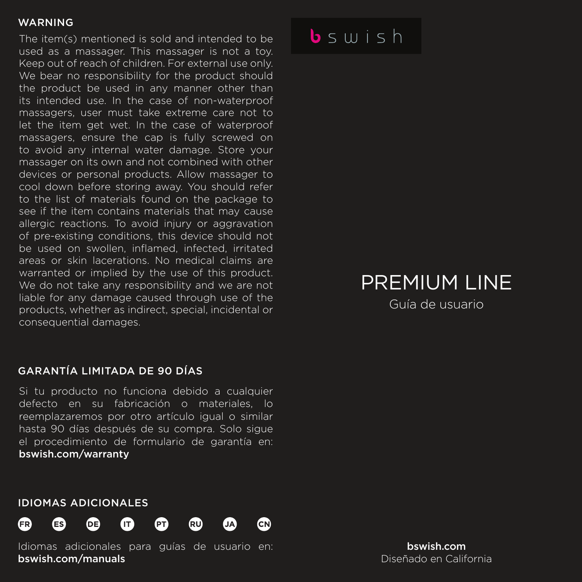The item(s) mentioned is sold and intended to be used as a massager. This massager is not a toy. Keep out of reach of children. For external use only. We bear no responsibility for the product should the product be used in any manner other than its intended use. In the case of non-waterproof massagers, user must take extreme care not to let the item get wet. In the case of waterproof massagers, ensure the cap is fully screwed on to avoid any internal water damage. Store your massager on its own and not combined with other devices or personal products. Allow massager to cool down before storing away. You should refer to the list of materials found on the package to see if the item contains materials that may cause allergic reactions. To avoid injury or aggravation of pre-existing conditions, this device should not be used on swollen, inflamed, infected, irritated areas or skin lacerations. No medical claims are warranted or implied by the use of this product. We do not take any responsibility and we are not liable for any damage caused through use of the products, whether as indirect, special, incidental or consequential damages.

#### GARANTÍA LIMITADA DE 90 DÍAS

Si tu producto no funciona debido a cualquier defecto en su fabricación o materiales, lo reemplazaremos por otro artículo igual o similar hasta 90 días después de su compra. Solo sigue el procedimiento de formulario de garantía en: bswish.com/warranty

#### IDIOMAS ADICIONALES



Idiomas adicionales para guías de usuario en: bswish.com/manuals

 $b \leq u + h$ 

## PREMIUM LINE

Guía de usuario

bswish.com Diseñado en California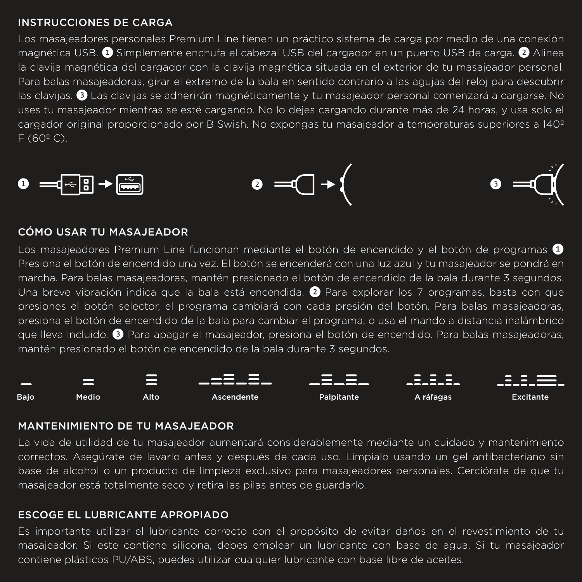#### INSTRUCCIONES DE CARGA

Los masajeadores personales Premium Line tienen un práctico sistema de carga por medio de una conexión magnética USB. ❶ Simplemente enchufa el cabezal USB del cargador en un puerto USB de carga. ❷ Alinea la clavija magnética del cargador con la clavija magnética situada en el exterior de tu masajeador personal. Para balas masajeadoras, girar el extremo de la bala en sentido contrario a las agujas del reloj para descubrir las clavijas. ❸ Las clavijas se adherirán magnéticamente y tu masajeador personal comenzará a cargarse. No uses tu masajeador mientras se esté cargando. No lo dejes cargando durante más de 24 horas, y usa solo el cargador original proporcionado por B Swish. No expongas tu masajeador a temperaturas superiores a 140º F (60º C).







#### CÓMO USAR TU MASAJEADOR

Los masajeadores Premium Line funcionan mediante el botón de encendido y el botón de programas <sup>●</sup> Presiona el botón de encendido una vez. El botón se encenderá con una luz azul y tu masajeador se pondrá en marcha. Para balas masajeadoras, mantén presionado el botón de encendido de la bala durante 3 segundos. Una breve vibración indica que la bala está encendida. ❷ Para explorar los 7 programas, basta con que presiones el botón selector, el programa cambiará con cada presión del botón. Para balas masajeadoras, presiona el botón de encendido de la bala para cambiar el programa, o usa el mando a distancia inalámbrico que lleva incluido. ❸ Para apagar el masajeador, presiona el botón de encendido. Para balas masajeadoras, mantén presionado el botón de encendido de la bala durante 3 segundos.



#### MANTENIMIENTO DE TU MASAJEADOR

La vida de utilidad de tu masajeador aumentará considerablemente mediante un cuidado y mantenimiento correctos. Asegúrate de lavarlo antes y después de cada uso. Límpialo usando un gel antibacteriano sin base de alcohol o un producto de limpieza exclusivo para masajeadores personales. Cerciórate de que tu masajeador está totalmente seco y retira las pilas antes de guardarlo.

#### ESCOGE EL LUBRICANTE APROPIADO

Es importante utilizar el lubricante correcto con el propósito de evitar daños en el revestimiento de tu masajeador. Si este contiene silicona, debes emplear un lubricante con base de agua. Si tu masajeador contiene plásticos PU/ABS, puedes utilizar cualquier lubricante con base libre de aceites.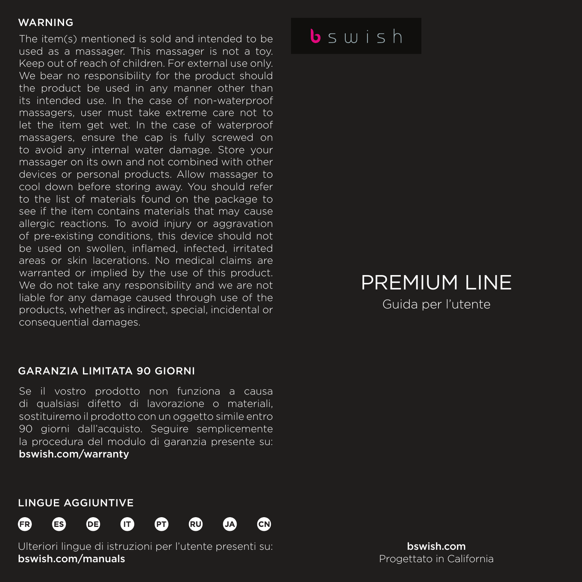The item(s) mentioned is sold and intended to be used as a massager. This massager is not a toy. Keep out of reach of children. For external use only. We bear no responsibility for the product should the product be used in any manner other than its intended use. In the case of non-waterproof massagers, user must take extreme care not to let the item get wet. In the case of waterproof massagers, ensure the cap is fully screwed on to avoid any internal water damage. Store your massager on its own and not combined with other devices or personal products. Allow massager to cool down before storing away. You should refer to the list of materials found on the package to see if the item contains materials that may cause allergic reactions. To avoid injury or aggravation of pre-existing conditions, this device should not be used on swollen, inflamed, infected, irritated areas or skin lacerations. No medical claims are warranted or implied by the use of this product. We do not take any responsibility and we are not liable for any damage caused through use of the products, whether as indirect, special, incidental or consequential damages.

#### GARANZIA LIMITATA 90 GIORNI

Se il vostro prodotto non funziona a causa di qualsiasi difetto di lavorazione o materiali, sostituiremo il prodotto con un oggetto simile entro 90 giorni dall'acquisto. Seguire semplicemente la procedura del modulo di garanzia presente su: bswish.com/warranty

#### LINGUE AGGIUNTIVE



Ulteriori lingue di istruzioni per l'utente presenti su: bswish.com/manuals

 $b \leq u + h$ 

## PREMIUM LINE

Guida per l'utente

bswish.com Progettato in California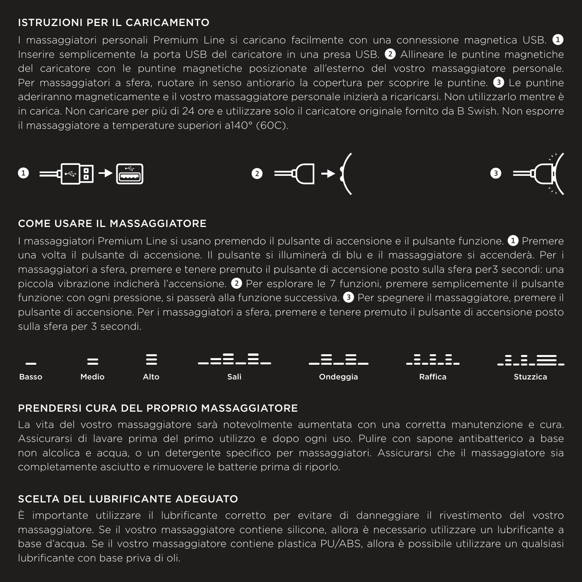#### ISTRUZIONI PER IL CARICAMENTO

I massaggiatori personali Premium Line si caricano facilmente con una connessione magnetica USB. ❶ Inserire semplicemente la porta USB del caricatore in una presa USB. ❷ Allineare le puntine magnetiche del caricatore con le puntine magnetiche posizionate all'esterno del vostro massaggiatore personale. Per massaggiatori a sfera, ruotare in senso antiorario la copertura per scoprire le puntine. ❸ Le puntine aderiranno magneticamente e il vostro massaggiatore personale inizierà a ricaricarsi. Non utilizzarlo mentre è in carica. Non caricare per più di 24 ore e utilizzare solo il caricatore originale fornito da B Swish. Non esporre il massaggiatore a temperature superiori a140° (60C).







#### COME USARE IL MASSAGGIATORE

I massaggiatori Premium Line si usano premendo il pulsante di accensione e il pulsante funzione. ❶ Premere una volta il pulsante di accensione. Il pulsante si illuminerà di blu e il massaggiatore si accenderà. Per i massaggiatori a sfera, premere e tenere premuto il pulsante di accensione posto sulla sfera per3 secondi: una piccola vibrazione indicherà l'accensione. ❷ Per esplorare le 7 funzioni, premere semplicemente il pulsante funzione: con ogni pressione, si passerà alla funzione successiva. ❸ Per spegnere il massaggiatore, premere il pulsante di accensione. Per i massaggiatori a sfera, premere e tenere premuto il pulsante di accensione posto sulla sfera per 3 secondi.



#### PRENDERSI CURA DEL PROPRIO MASSAGGIATORE

La vita del vostro massaggiatore sarà notevolmente aumentata con una corretta manutenzione e cura. Assicurarsi di lavare prima del primo utilizzo e dopo ogni uso. Pulire con sapone antibatterico a base non alcolica e acqua, o un detergente specifico per massaggiatori. Assicurarsi che il massaggiatore sia completamente asciutto e rimuovere le batterie prima di riporlo.

#### SCELTA DEL LUBRIFICANTE ADEGUATO

È importante utilizzare il lubrificante corretto per evitare di danneggiare il rivestimento del vostro massaggiatore. Se il vostro massaggiatore contiene silicone, allora è necessario utilizzare un lubrificante a base d'acqua. Se il vostro massaggiatore contiene plastica PU/ABS, allora è possibile utilizzare un qualsiasi lubrificante con base priva di oli.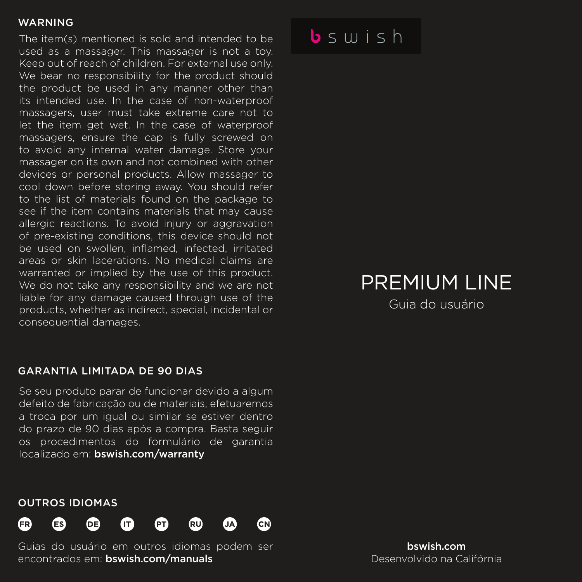The item(s) mentioned is sold and intended to be used as a massager. This massager is not a toy. Keep out of reach of children. For external use only. We bear no responsibility for the product should the product be used in any manner other than its intended use. In the case of non-waterproof massagers, user must take extreme care not to let the item get wet. In the case of waterproof massagers, ensure the cap is fully screwed on to avoid any internal water damage. Store your massager on its own and not combined with other devices or personal products. Allow massager to cool down before storing away. You should refer to the list of materials found on the package to see if the item contains materials that may cause allergic reactions. To avoid injury or aggravation of pre-existing conditions, this device should not be used on swollen, inflamed, infected, irritated areas or skin lacerations. No medical claims are warranted or implied by the use of this product. We do not take any responsibility and we are not liable for any damage caused through use of the products, whether as indirect, special, incidental or consequential damages.

#### GARANTIA LIMITADA DE 90 DIAS

Se seu produto parar de funcionar devido a algum defeito de fabricação ou de materiais, efetuaremos a troca por um igual ou similar se estiver dentro do prazo de 90 dias após a compra. Basta seguir os procedimentos do formulário de garantia localizado em: bswish.com/warranty

## $b \leq u + h$

## PREMIUM LINE

Guia do usuário

#### OUTROS IDIOMAS



Guias do usuário em outros idiomas podem ser encontrados em: bswish.com/manuals

bswish.com Desenvolvido na Califórnia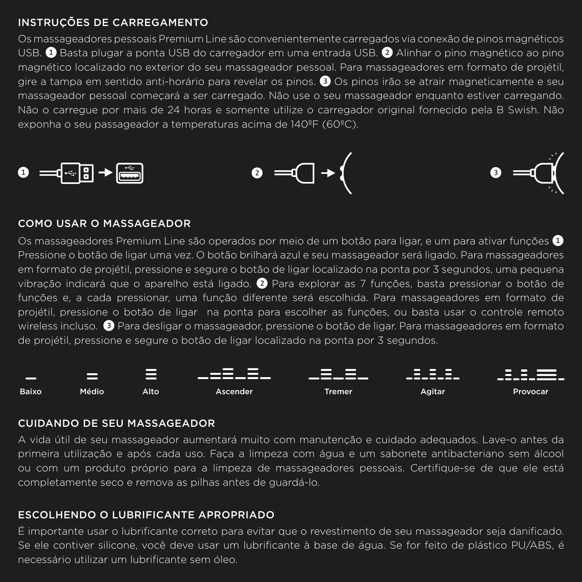#### INSTRUÇÕES DE CARREGAMENTO

Os massageadores pessoais Premium Line são convenientemente carregados via conexão de pinos magnéticos USB. <sup>1</sup> Basta plugar a ponta USB do carregador em uma entrada USB. <sup>2</sup> Alinha<u>r o pino magnético ao pino</u> magnético localizado no exterior do seu massageador pessoal. Para massageadores em formato de projétil, gire a tampa em sentido anti-horário para revelar os pinos. ❸ Os pinos irão se atrair magneticamente e seu massageador pessoal começará a ser carregado. Não use o seu massageador enquanto estiver carregando. Não o carregue por mais de 24 horas e somente utilize o carregador original fornecido pela B Swish. Não exponha o seu passageador a temperaturas acima de 140ºF (60ºC).







#### COMO USAR O MASSAGEADOR

Os massageadores Premium Line são operados por meio de um botão para ligar, e um para ativar funções ❶ Pressione o botão de ligar uma vez. O botão brilhará azul e seu massageador será ligado. Para massageadores em formato de projétil, pressione e segure o botão de ligar localizado na ponta por 3 segundos, uma pequena vibração indicará que o aparelho está ligado. ❷ Para explorar as 7 funções, basta pressionar o botão de funções e, a cada pressionar, uma função diferente será escolhida. Para massageadores em formato de projétil, pressione o botão de ligar na ponta para escolher as funções, ou basta usar o controle remoto wireless incluso. ❸ Para desligar o massageador, pressione o botão de ligar. Para massageadores em formato de projétil, pressione e segure o botão de ligar localizado na ponta por 3 segundos.



#### CUIDANDO DE SEU MASSAGEADOR

A vida útil de seu massageador aumentará muito com manutenção e cuidado adequados. Lave-o antes da primeira utilização e após cada uso. Faça a limpeza com água e um sabonete antibacteriano sem álcool ou com um produto próprio para a limpeza de massageadores pessoais. Certifique-se de que ele está completamente seco e remova as pilhas antes de guardá-lo.

#### ESCOLHENDO O LUBRIFICANTE APROPRIADO

É importante usar o lubrificante correto para evitar que o revestimento de seu massageador seja danificado. Se ele contiver silicone, você deve usar um lubrificante à base de água. Se for feito de plástico PU/ABS, é necessário utilizar um lubrificante sem óleo.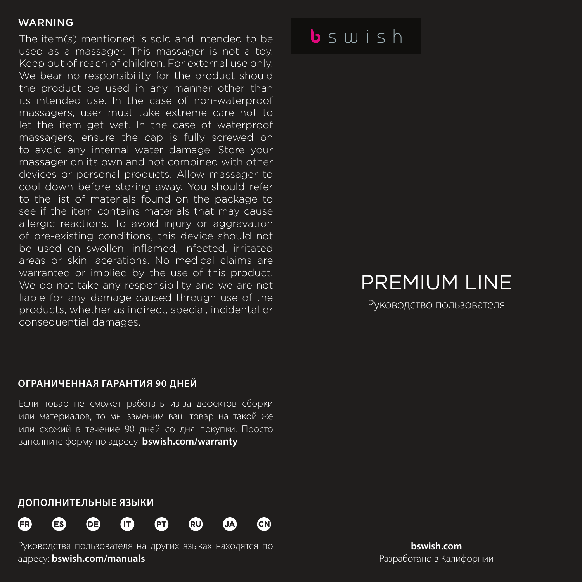The item(s) mentioned is sold and intended to be used as a massager. This massager is not a toy. Keep out of reach of children. For external use only. We bear no responsibility for the product should the product be used in any manner other than its intended use. In the case of non-waterproof massagers, user must take extreme care not to let the item get wet. In the case of waterproof massagers, ensure the cap is fully screwed on to avoid any internal water damage. Store your massager on its own and not combined with other devices or personal products. Allow massager to cool down before storing away. You should refer to the list of materials found on the package to see if the item contains materials that may cause allergic reactions. To avoid injury or aggravation of pre-existing conditions, this device should not be used on swollen, inflamed, infected, irritated areas or skin lacerations. No medical claims are warranted or implied by the use of this product. We do not take any responsibility and we are not liable for any damage caused through use of the products, whether as indirect, special, incidental or consequential damages.

## $b$ swish

## PREMIUM LINE

Руководство пользователя

#### **ОГРАНИЧЕННАЯ ГАРАНТИЯ 90 ДНЕЙ**

Если товар не сможет работать из-за дефектов сборки или материалов, то мы заменим ваш товар на такой же или схожий в течение 90 дней со дня покупки. Просто заполните форму по адресу: **bswish.com/warranty**

#### **ДОПОЛНИТЕЛЬНЫЕ ЯЗЫКИ**



Руководства пользователя на других языках находятся по адресу: **bswish.com/manuals**

**bswish.com** Разработано в Калифорнии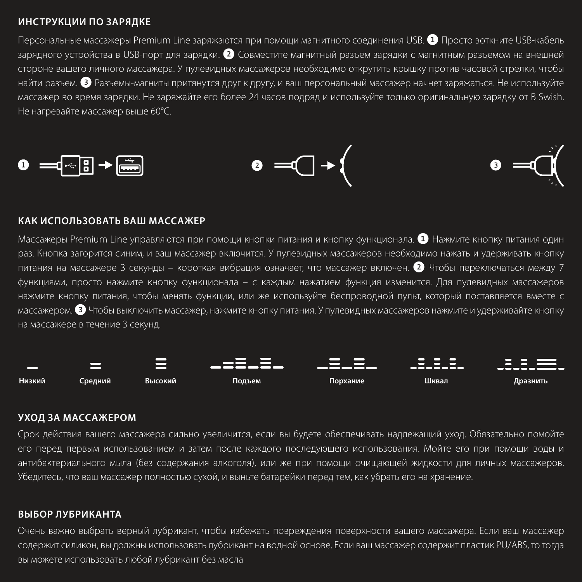#### **ИНСТРУКЦИИ ПО ЗАРЯДКЕ**

Персональные массажеры Premium Line заряжаются при помощи магнитного соединения USB. ❶ Просто воткните USB-кабель зарядного устройства в USB-порт для зарядки. ❷ Совместите магнитный разъем зарядки с магнитным разъемом на внешней стороне вашего личного массажера. У пулевидных массажеров необходимо открутить крышку против часовой стрелки, чтобы найти разъем. ❸ Разъемы-магниты притянутся друг к другу, и ваш персональный массажер начнет заряжаться. Не используйте массажер во время зарядки. Не заряжайте его более 24 часов подряд и используйте только оригинальную зарядку от B Swish. Не нагревайте массажер выше 60°C.



#### **КАК ИСПОЛЬЗОВАТЬ ВАШ МАССАЖЕР**

Массажеры Premium Line управляются при помощи кнопки питания и кнопку функционала. ❶ Нажмите кнопку питания один раз. Кнопка загорится синим, и ваш массажер включится. У пулевидных массажеров необходимо нажать и удерживать кнопку питания на массажере 3 секунды – короткая вибрация означает, что массажер включен. ❷ Чтобы переключаться между 7 функциями, просто нажмите кнопку функционала – с каждым нажатием функция изменится. Для пулевидных массажеров нажмите кнопку питания, чтобы менять функции, или же используйте беспроводной пульт, который поставляется вместе с массажером. ❸ Чтобы выключить массажер, нажмите кнопку питания. У пулевидных массажеров нажмите и удерживайте кнопку на массажере в течение 3 секунд.



#### **УХОД ЗА МАССАЖЕРОМ**

Срок действия вашего массажера сильно увеличится, если вы будете обеспечивать надлежащий уход. Обязательно помойте его перед первым использованием и затем после каждого последующего использования. Мойте его при помощи воды и антибактериального мыла (без содержания алкоголя), или же при помощи очищающей жидкости для личных массажеров. Убедитесь, что ваш массажер полностью сухой, и выньте батарейки перед тем, как убрать его на хранение.

#### **ВЫБОР ЛУБРИКАНТА**

Очень важно выбрать верный лубрикант, чтобы избежать повреждения поверхности вашего массажера. Если ваш массажер содержит силикон, вы должны использовать лубрикант на водной основе. Если ваш массажер содержит пластик PU/ABS, то тогда вы можете использовать любой лубрикант без масла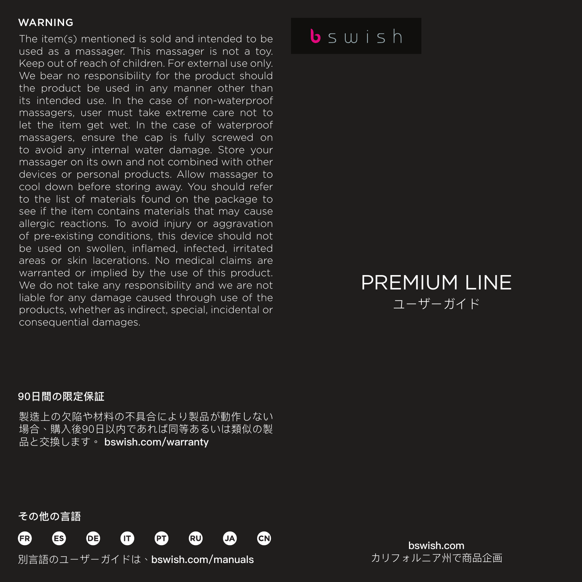The item(s) mentioned is sold and intended to be used as a massager. This massager is not a toy. Keep out of reach of children. For external use only. We bear no responsibility for the product should the product be used in any manner other than its intended use. In the case of non-waterproof massagers, user must take extreme care not to let the item get wet. In the case of waterproof massagers, ensure the cap is fully screwed on to avoid any internal water damage. Store your massager on its own and not combined with other devices or personal products. Allow massager to cool down before storing away. You should refer to the list of materials found on the package to see if the item contains materials that may cause allergic reactions. To avoid injury or aggravation of pre-existing conditions, this device should not be used on swollen, inflamed, infected, irritated areas or skin lacerations. No medical claims are warranted or implied by the use of this product. We do not take any responsibility and we are not liable for any damage caused through use of the products, whether as indirect, special, incidental or consequential damages.

### $b \leq u + h$

### PREMIUM LINE ユーザーガイド

#### 90日間の限定保証

製造上の欠陥や材料の不具合により製品が動作しない 場合、購入後90日以内であれば同等あるいは類似の製 品と交換します。 bswish.com/warranty

その他の言語



別言語のユーザーガイドは、bswish.com/manuals

bswish.com カリフォルニア州で商品企画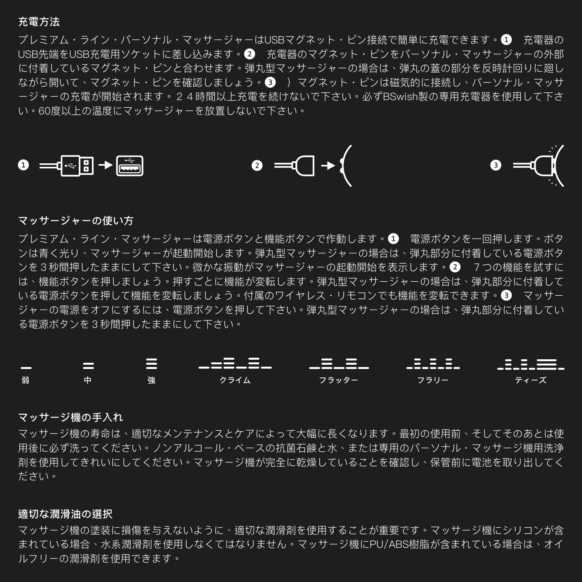#### 充電方法

プレミアム・ライン・パーソナル・マッサージャーはUSBマグネット・ピン接続で簡単に充電できます。❶ 充電器の USB先端をUSB充雷用ソケットに差し込みます。 ■ 充雷器のマグネット・ピンをパーソナル・マッサージャーの外部 に付着しているマグネット・ピンと合わせます。弾丸型マッサージャーの場合は、弾丸の蓋の部分を反時計回りに廻し ながら開いて、マグネット・ピンを確認しましょう。 ■ ) マグネット・ピンは磁気的に接続し、パーソナル・マッサ ージャーの充電が開始されます。24時間以上充電を続けないで下さい。必ずBSwish製の専用充電器を使用して下さ い。60度以上の温度にマッサージャーを放置しないで下さい。



#### マッサージャーの使い方

プレミアム・ライン・マッサージャーは電源ボタンと機能ボタンで作動します。❶ 電源ボタンを一回押します。ボタ ンは青く光り、マッサージャーが起動開始します。弾丸型マッサージャーの場合は、弾丸部分に付着している電源ボタ ンを3秒間押したままにして下さい。微かな振動がマッサージャーの起動開始を表示します。❷ 7つの機能を試すに は、機能ボタンを押しましょう。押すごとに機能が変転します。弾丸型マッサージャーの場合は、弾丸部分に付着して いる雷源ボタンを押して機能を変転しましょう。付属のワイヤレス・リモコンでも機能を変転できます。 ■ マッサー ジャーの電源をオフにするには、電源ボタンを押して下さい。弾丸型マッサージャーの場合は、弾丸部分に付着してい る電源ボタンを3秒間押したままにして下さい。



#### マッサージ機の手入れ

マッサージ機の寿命は、適切なメンテナンスとケアによって大幅に長くなります。最初の使用前、そしてそのあとは使 用後に必ず洗ってください。ノンアルコール・ベースの抗菌石鹸と水、または専用のパーソナル・マッサージ機用洗浄 剤を使用してきれいにしてください。マッサージ機が完全に乾燥していることを確認し、保管前に電池を取り出してく ださい。

#### 適切な潤滑油の選択

マッサージ機の塗装に損傷を与えないように、適切な潤滑剤を使用することが重要です。マッサージ機にシリコンが含 まれている場合、水系潤滑剤を使用しなくてはなりません。マッサージ機にPU/ABS樹脂が含まれている場合は、オイ ルフリーの潤滑剤を使用できます。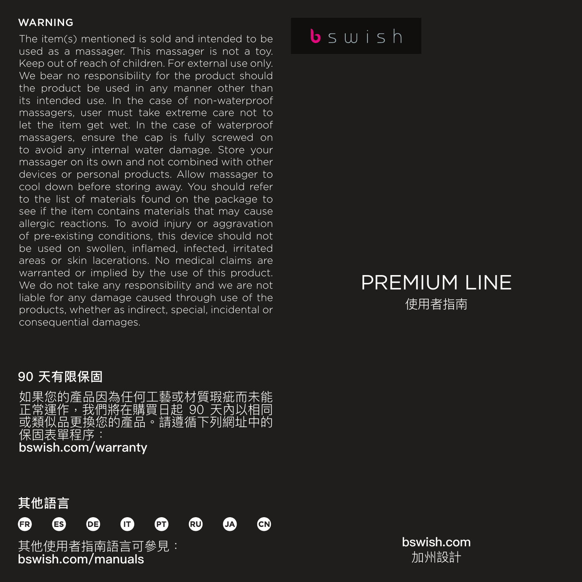The item(s) mentioned is sold and intended to be used as a massager. This massager is not a toy. Keep out of reach of children. For external use only. We bear no responsibility for the product should the product be used in any manner other than its intended use. In the case of non-waterproof massagers, user must take extreme care not to let the item get wet. In the case of waterproof massagers, ensure the cap is fully screwed on to avoid any internal water damage. Store your massager on its own and not combined with other devices or personal products. Allow massager to cool down before storing away. You should refer to the list of materials found on the package to see if the item contains materials that may cause allergic reactions. To avoid injury or aggravation of pre-existing conditions, this device should not be used on swollen, inflamed, infected, irritated areas or skin lacerations. No medical claims are warranted or implied by the use of this product. We do not take any responsibility and we are not liable for any damage caused through use of the products, whether as indirect, special, incidental or consequential damages.

### $b \leq u + h$

### PREMIUM LINE 使用者指南

### 90 天有限保固

如果您的產品因為任何工藝或材質瑕疵而未能 正常運作,我們將在購買日起 90 天內以相同 或類似品更換您的產品。請遵循下列網址中的 保固表單程序:

bswish.com/warranty



bswish.com/manuals

bswish.com 加州設計